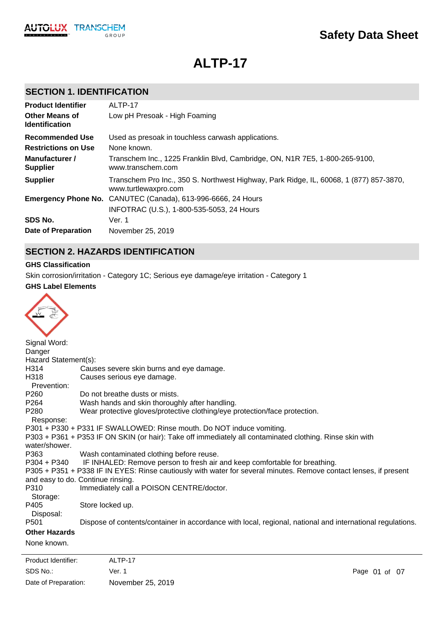

# **ALTP-17**

## **SECTION 1. IDENTIFICATION**

| <b>Product Identifier</b>                      | ALTP-17                                                                                                        |
|------------------------------------------------|----------------------------------------------------------------------------------------------------------------|
| <b>Other Means of</b><br><b>Identification</b> | Low pH Presoak - High Foaming                                                                                  |
| <b>Recommended Use</b>                         | Used as presoak in touchless carwash applications.                                                             |
| <b>Restrictions on Use</b>                     | None known.                                                                                                    |
| Manufacturer /<br><b>Supplier</b>              | Transchem Inc., 1225 Franklin Blvd, Cambridge, ON, N1R 7E5, 1-800-265-9100,<br>www.transchem.com               |
| <b>Supplier</b>                                | Transchem Pro Inc., 350 S. Northwest Highway, Park Ridge, IL, 60068, 1 (877) 857-3870,<br>www.turtlewaxpro.com |
|                                                | Emergency Phone No. CANUTEC (Canada), 613-996-6666, 24 Hours                                                   |
|                                                | INFOTRAC (U.S.), 1-800-535-5053, 24 Hours                                                                      |
| SDS No.                                        | Ver. 1                                                                                                         |
| Date of Preparation                            | November 25, 2019                                                                                              |

## **SECTION 2. HAZARDS IDENTIFICATION**

### **GHS Classification**

Skin corrosion/irritation - Category 1C; Serious eye damage/eye irritation - Category 1

#### **GHS Label Elements**

| Signal Word:         |                                                                                                                   |
|----------------------|-------------------------------------------------------------------------------------------------------------------|
| Danger               |                                                                                                                   |
| Hazard Statement(s): |                                                                                                                   |
| H314                 | Causes severe skin burns and eye damage.                                                                          |
| H318                 | Causes serious eye damage.                                                                                        |
| Prevention:          |                                                                                                                   |
| P <sub>260</sub>     | Do not breathe dusts or mists.                                                                                    |
| P <sub>264</sub>     | Wash hands and skin thoroughly after handling.                                                                    |
| P <sub>280</sub>     | Wear protective gloves/protective clothing/eye protection/face protection.                                        |
| Response:            |                                                                                                                   |
|                      | P301 + P330 + P331 IF SWALLOWED: Rinse mouth. Do NOT induce vomiting.                                             |
|                      | P303 + P361 + P353 IF ON SKIN (or hair): Take off immediately all contaminated clothing. Rinse skin with          |
| water/shower.        |                                                                                                                   |
| P363                 | Wash contaminated clothing before reuse.                                                                          |
| $P304 + P340$        | IF INHALED: Remove person to fresh air and keep comfortable for breathing.                                        |
|                      | P305 + P351 + P338 IF IN EYES: Rinse cautiously with water for several minutes. Remove contact lenses, if present |
|                      | and easy to do. Continue rinsing.                                                                                 |
| P310                 | Immediately call a POISON CENTRE/doctor.                                                                          |
| Storage:             |                                                                                                                   |
| P405                 | Store locked up.                                                                                                  |
| Disposal:            |                                                                                                                   |
| P <sub>501</sub>     | Dispose of contents/container in accordance with local, regional, national and international regulations.         |
| <b>Other Hazards</b> |                                                                                                                   |
| None known.          |                                                                                                                   |
|                      |                                                                                                                   |

SDS No.: Date of Preparation: Ver. 1 Page 01 of 07 November 25, 2019 Product Identifier: ALTP-17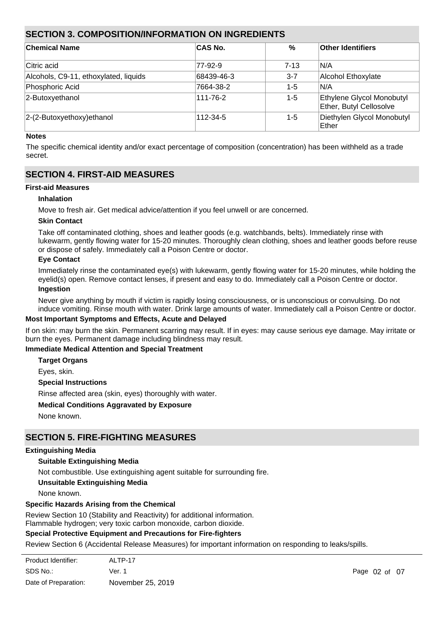## **SECTION 3. COMPOSITION/INFORMATION ON INGREDIENTS**

| ∣Chemical Name                        | <b>CAS No.</b> | $\%$     | <b>Other Identifiers</b>                             |
|---------------------------------------|----------------|----------|------------------------------------------------------|
| ∣Citric acid                          | 77-92-9        | $7 - 13$ | IN/A                                                 |
| Alcohols, C9-11, ethoxylated, liquids | 68439-46-3     | $3 - 7$  | Alcohol Ethoxylate                                   |
| Phosphoric Acid                       | 7664-38-2      | $1 - 5$  | IN/A                                                 |
| 2-Butoxyethanol                       | 111-76-2       | $1 - 5$  | Ethylene Glycol Monobutyl<br>Ether, Butyl Cellosolve |
| $ 2-(2-Butoxyethoxy)$ ethanol         | 112-34-5       | $1 - 5$  | Diethylen Glycol Monobutyl<br>Ether                  |

#### **Notes**

The specific chemical identity and/or exact percentage of composition (concentration) has been withheld as a trade secret.

## **SECTION 4. FIRST-AID MEASURES**

#### **First-aid Measures**

#### **Inhalation**

Move to fresh air. Get medical advice/attention if you feel unwell or are concerned.

#### **Skin Contact**

Take off contaminated clothing, shoes and leather goods (e.g. watchbands, belts). Immediately rinse with lukewarm, gently flowing water for 15-20 minutes. Thoroughly clean clothing, shoes and leather goods before reuse or dispose of safely. Immediately call a Poison Centre or doctor.

#### **Eye Contact**

Immediately rinse the contaminated eye(s) with lukewarm, gently flowing water for 15-20 minutes, while holding the eyelid(s) open. Remove contact lenses, if present and easy to do. Immediately call a Poison Centre or doctor. **Ingestion**

Never give anything by mouth if victim is rapidly losing consciousness, or is unconscious or convulsing. Do not induce vomiting. Rinse mouth with water. Drink large amounts of water. Immediately call a Poison Centre or doctor.

#### **Most Important Symptoms and Effects, Acute and Delayed**

If on skin: may burn the skin. Permanent scarring may result. If in eyes: may cause serious eye damage. May irritate or burn the eyes. Permanent damage including blindness may result.

## **Immediate Medical Attention and Special Treatment**

**Target Organs**

Eyes, skin.

**Special Instructions**

Rinse affected area (skin, eyes) thoroughly with water.

## **Medical Conditions Aggravated by Exposure**

None known.

## **SECTION 5. FIRE-FIGHTING MEASURES**

#### **Extinguishing Media**

#### **Suitable Extinguishing Media**

Not combustible. Use extinguishing agent suitable for surrounding fire.

#### **Unsuitable Extinguishing Media**

None known.

#### **Specific Hazards Arising from the Chemical**

Review Section 10 (Stability and Reactivity) for additional information.

Flammable hydrogen; very toxic carbon monoxide, carbon dioxide.

## **Special Protective Equipment and Precautions for Fire-fighters**

Review Section 6 (Accidental Release Measures) for important information on responding to leaks/spills.

| Product Identifier:  | ALTP-17           |               |  |
|----------------------|-------------------|---------------|--|
| SDS No.:             | Ver. 1            | Page 02 of 07 |  |
| Date of Preparation: | November 25, 2019 |               |  |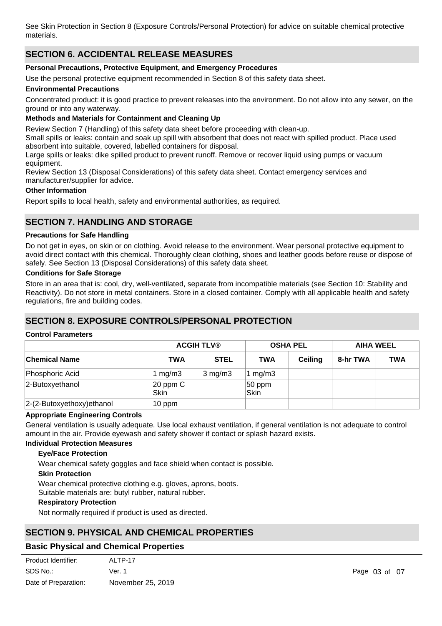See Skin Protection in Section 8 (Exposure Controls/Personal Protection) for advice on suitable chemical protective materials.

## **SECTION 6. ACCIDENTAL RELEASE MEASURES**

#### **Personal Precautions, Protective Equipment, and Emergency Procedures**

Use the personal protective equipment recommended in Section 8 of this safety data sheet.

#### **Environmental Precautions**

Concentrated product: it is good practice to prevent releases into the environment. Do not allow into any sewer, on the ground or into any waterway.

### **Methods and Materials for Containment and Cleaning Up**

Review Section 7 (Handling) of this safety data sheet before proceeding with clean-up.

Small spills or leaks: contain and soak up spill with absorbent that does not react with spilled product. Place used absorbent into suitable, covered, labelled containers for disposal.

Large spills or leaks: dike spilled product to prevent runoff. Remove or recover liquid using pumps or vacuum equipment.

Review Section 13 (Disposal Considerations) of this safety data sheet. Contact emergency services and manufacturer/supplier for advice.

#### **Other Information**

Report spills to local health, safety and environmental authorities, as required.

## **SECTION 7. HANDLING AND STORAGE**

### **Precautions for Safe Handling**

Do not get in eyes, on skin or on clothing. Avoid release to the environment. Wear personal protective equipment to avoid direct contact with this chemical. Thoroughly clean clothing, shoes and leather goods before reuse or dispose of safely. See Section 13 (Disposal Considerations) of this safety data sheet.

### **Conditions for Safe Storage**

Store in an area that is: cool, dry, well-ventilated, separate from incompatible materials (see Section 10: Stability and Reactivity). Do not store in metal containers. Store in a closed container. Comply with all applicable health and safety regulations, fire and building codes.

## **SECTION 8. EXPOSURE CONTROLS/PERSONAL PROTECTION**

#### **Control Parameters**

|                            |                              | <b>ACGIH TLV®</b> |                         | <b>OSHA PEL</b> |          | <b>AIHA WEEL</b> |  |
|----------------------------|------------------------------|-------------------|-------------------------|-----------------|----------|------------------|--|
| <b>Chemical Name</b>       | <b>TWA</b>                   | <b>STEL</b>       | <b>TWA</b>              | <b>Ceiling</b>  | 8-hr TWA | <b>TWA</b>       |  |
| Phosphoric Acid            | 1 mg/m $3$                   | $3 \text{ mg/m}$  | mg/m3                   |                 |          |                  |  |
| 2-Butoxyethanol            | $ 20$ ppm $C$<br><b>Skin</b> |                   | $50$ ppm<br><b>Skin</b> |                 |          |                  |  |
| 2-(2-Butoxyethoxy) ethanol | $10$ ppm                     |                   |                         |                 |          |                  |  |

## **Appropriate Engineering Controls**

General ventilation is usually adequate. Use local exhaust ventilation, if general ventilation is not adequate to control amount in the air. Provide eyewash and safety shower if contact or splash hazard exists.

## **Individual Protection Measures**

### **Eye/Face Protection**

Wear chemical safety goggles and face shield when contact is possible.

#### **Skin Protection**

Wear chemical protective clothing e.g. gloves, aprons, boots. Suitable materials are: butyl rubber, natural rubber.

#### **Respiratory Protection**

Not normally required if product is used as directed.

## **SECTION 9. PHYSICAL AND CHEMICAL PROPERTIES**

## **Basic Physical and Chemical Properties**

| ALTP-17           |
|-------------------|
| Ver. 1            |
| November 25, 2019 |
|                   |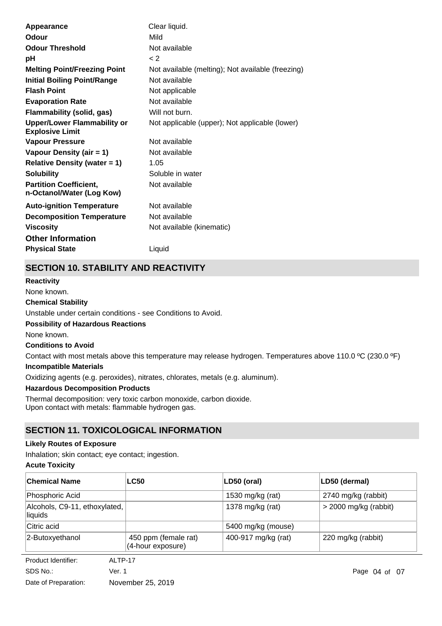| Appearance                                                   | Clear liquid.                                     |
|--------------------------------------------------------------|---------------------------------------------------|
| <b>Odour</b>                                                 | Mild                                              |
| <b>Odour Threshold</b>                                       | Not available                                     |
| рH                                                           | $\leq$ 2                                          |
| <b>Melting Point/Freezing Point</b>                          | Not available (melting); Not available (freezing) |
| <b>Initial Boiling Point/Range</b>                           | Not available                                     |
| <b>Flash Point</b>                                           | Not applicable                                    |
| <b>Evaporation Rate</b>                                      | Not available                                     |
| Flammability (solid, gas)                                    | Will not burn.                                    |
| <b>Upper/Lower Flammability or</b><br><b>Explosive Limit</b> | Not applicable (upper); Not applicable (lower)    |
| <b>Vapour Pressure</b>                                       | Not available                                     |
| Vapour Density (air = 1)                                     | Not available                                     |
| <b>Relative Density (water = 1)</b>                          | 1.05                                              |
| <b>Solubility</b>                                            | Soluble in water                                  |
| <b>Partition Coefficient,</b><br>n-Octanol/Water (Log Kow)   | Not available                                     |
| <b>Auto-ignition Temperature</b>                             | Not available                                     |
| <b>Decomposition Temperature</b>                             | Not available                                     |
| <b>Viscosity</b>                                             | Not available (kinematic)                         |
| <b>Other Information</b>                                     |                                                   |
| <b>Physical State</b>                                        | Liquid                                            |
|                                                              |                                                   |

## **SECTION 10. STABILITY AND REACTIVITY**

**Chemical Stability** Unstable under certain conditions - see Conditions to Avoid. **Conditions to Avoid** Contact with most metals above this temperature may release hydrogen. Temperatures above 110.0 ºC (230.0 ºF) **Incompatible Materials** Oxidizing agents (e.g. peroxides), nitrates, chlorates, metals (e.g. aluminum). **Hazardous Decomposition Products Possibility of Hazardous Reactions** None known. **Reactivity** None known.

Thermal decomposition: very toxic carbon monoxide, carbon dioxide. Upon contact with metals: flammable hydrogen gas.

## **SECTION 11. TOXICOLOGICAL INFORMATION**

## **Likely Routes of Exposure**

Inhalation; skin contact; eye contact; ingestion.

## **Acute Toxicity**

| <b>LC50</b>                               | LD50 (oral)         | LD50 (dermal)           |
|-------------------------------------------|---------------------|-------------------------|
|                                           | 1530 mg/kg (rat)    | 2740 mg/kg (rabbit)     |
| Alcohols, C9-11, ethoxylated,             | 1378 mg/kg (rat)    | $>$ 2000 mg/kg (rabbit) |
|                                           | 5400 mg/kg (mouse)  |                         |
| 450 ppm (female rat)<br>(4-hour exposure) | 400-917 mg/kg (rat) | 220 mg/kg (rabbit)      |
|                                           |                     |                         |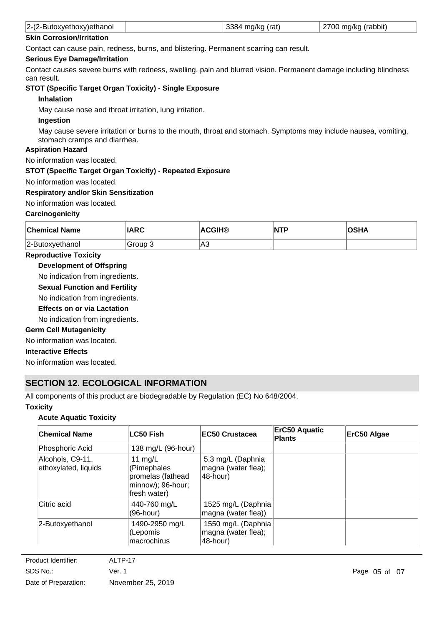| $ 2-(2-Butoxyethoxy)$ ethanol | 3384 ma/ka (rat) | 2700 mg/kg (rabbit) |
|-------------------------------|------------------|---------------------|
|                               |                  |                     |

## **Skin Corrosion/Irritation**

Contact can cause pain, redness, burns, and blistering. Permanent scarring can result.

#### **Serious Eye Damage/Irritation**

Contact causes severe burns with redness, swelling, pain and blurred vision. Permanent damage including blindness can result.

## **STOT (Specific Target Organ Toxicity) - Single Exposure**

### **Inhalation**

May cause nose and throat irritation, lung irritation.

## **Ingestion**

May cause severe irritation or burns to the mouth, throat and stomach. Symptoms may include nausea, vomiting, stomach cramps and diarrhea.

### **Aspiration Hazard**

No information was located.

## **STOT (Specific Target Organ Toxicity) - Repeated Exposure**

No information was located.

#### **Respiratory and/or Skin Sensitization**

No information was located.

#### **Carcinogenicity**

| <b>Chemical Name</b> | <b>IARC</b> | <b>ACGIH®</b> | <b>NTP</b> | <b>OSHA</b> |
|----------------------|-------------|---------------|------------|-------------|
| $ 2$ -Butoxyethanol  | Group 3     | A3            |            |             |

### **Reproductive Toxicity**

#### **Development of Offspring**

No indication from ingredients.

**Sexual Function and Fertility**

No indication from ingredients.

### **Effects on or via Lactation**

No indication from ingredients.

#### **Germ Cell Mutagenicity**

No information was located.

#### **Interactive Effects**

No information was located.

## **SECTION 12. ECOLOGICAL INFORMATION**

All components of this product are biodegradable by Regulation (EC) No 648/2004.

#### **Toxicity**

#### **Acute Aquatic Toxicity**

| <b>Chemical Name</b>                     | <b>LC50 Fish</b>                                                                 | <b>EC50 Crustacea</b>                                 | <b>ErC50 Aquatic</b><br><b>Plants</b> | ErC50 Algae |
|------------------------------------------|----------------------------------------------------------------------------------|-------------------------------------------------------|---------------------------------------|-------------|
| Phosphoric Acid                          | 138 mg/L (96-hour)                                                               |                                                       |                                       |             |
| Alcohols, C9-11,<br>ethoxylated, liquids | 11 mg/L<br>(Pimephales<br>promelas (fathead<br>minnow); 96-hour;<br>fresh water) | 5.3 mg/L (Daphnia<br>magna (water flea);<br>48-hour)  |                                       |             |
| Citric acid                              | 440-760 mg/L<br>(96-hour)                                                        | 1525 mg/L (Daphnia<br>magna (water flea))             |                                       |             |
| 2-Butoxyethanol                          | 1490-2950 mg/L<br>(Lepomis<br>macrochirus                                        | 1550 mg/L (Daphnia<br>magna (water flea);<br>48-hour) |                                       |             |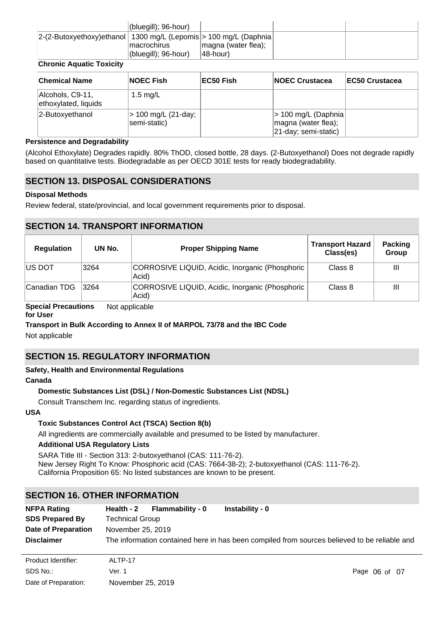|                                                                    | $ $ (bluegill); 96-hour) |                     |  |
|--------------------------------------------------------------------|--------------------------|---------------------|--|
| 2-(2-Butoxyethoxy)ethanol   1300 mg/L (Lepomis > 100 mg/L (Daphnia |                          |                     |  |
|                                                                    | ∣macrochirus             | magna (water flea); |  |
|                                                                    | $ $ (bluegill); 96-hour) | 48-hour)            |  |

## **Chronic Aquatic Toxicity**

| <b>Chemical Name</b>                     | <b>NOEC Fish</b>                    | EC50 Fish | <b>NOEC Crustacea</b>                                               | <b>IEC50 Crustacea</b> |
|------------------------------------------|-------------------------------------|-----------|---------------------------------------------------------------------|------------------------|
| Alcohols, C9-11,<br>ethoxylated, liquids | 1.5 mg/L                            |           |                                                                     |                        |
| 2-Butoxyethanol                          | > 100 mg/L (21-day;<br>semi-static) |           | > 100 mg/L (Daphnia)<br>magna (water flea);<br>21-day; semi-static) |                        |

## **Persistence and Degradability**

(Alcohol Ethoxylate) Degrades rapidly. 80% ThOD, closed bottle, 28 days. (2-Butoxyethanol) Does not degrade rapidly based on quantitative tests. Biodegradable as per OECD 301E tests for ready biodegradability.

## **SECTION 13. DISPOSAL CONSIDERATIONS**

### **Disposal Methods**

Review federal, state/provincial, and local government requirements prior to disposal.

## **SECTION 14. TRANSPORT INFORMATION**

| <b>Regulation</b> | UN No. | <b>Proper Shipping Name</b>                              | <b>Transport Hazard</b><br>Class(es) | <b>Packing</b><br>Group |
|-------------------|--------|----------------------------------------------------------|--------------------------------------|-------------------------|
| <b>IUS DOT</b>    | 3264   | CORROSIVE LIQUID, Acidic, Inorganic (Phosphoric<br>Acid) | Class 8                              | Ш                       |
| Canadian TDG      | 3264   | CORROSIVE LIQUID, Acidic, Inorganic (Phosphoric<br>Acid) | Class 8                              | Ш                       |

#### **Special Precautions** Not applicable

### **for User**

## **Transport in Bulk According to Annex II of MARPOL 73/78 and the IBC Code**

Not applicable

## **SECTION 15. REGULATORY INFORMATION**

## **Safety, Health and Environmental Regulations**

## **Canada**

## **Domestic Substances List (DSL) / Non-Domestic Substances List (NDSL)**

Consult Transchem Inc. regarding status of ingredients.

#### **USA**

## **Toxic Substances Control Act (TSCA) Section 8(b)**

All ingredients are commercially available and presumed to be listed by manufacturer.

#### **Additional USA Regulatory Lists**

SARA Title III - Section 313: 2-butoxyethanol (CAS: 111-76-2). New Jersey Right To Know: Phosphoric acid (CAS: 7664-38-2); 2-butoxyethanol (CAS: 111-76-2). California Proposition 65: No listed substances are known to be present.

## **SECTION 16. OTHER INFORMATION**

| <b>NFPA Rating</b>     | Health - 2                                                                                   | Flammability - 0 | Instability - 0 |  |  |  |  |
|------------------------|----------------------------------------------------------------------------------------------|------------------|-----------------|--|--|--|--|
| <b>SDS Prepared By</b> | <b>Technical Group</b>                                                                       |                  |                 |  |  |  |  |
| Date of Preparation    | November 25, 2019                                                                            |                  |                 |  |  |  |  |
| <b>Disclaimer</b>      | The information contained here in has been compiled from sources believed to be reliable and |                  |                 |  |  |  |  |
| Product Identifier:    | ALTP-17                                                                                      |                  |                 |  |  |  |  |
| ----                   |                                                                                              |                  |                 |  |  |  |  |